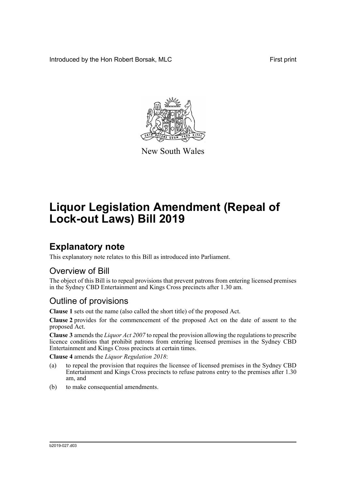Introduced by the Hon Robert Borsak, MLC First print



New South Wales

# **Liquor Legislation Amendment (Repeal of Lock-out Laws) Bill 2019**

## **Explanatory note**

This explanatory note relates to this Bill as introduced into Parliament.

#### Overview of Bill

The object of this Bill is to repeal provisions that prevent patrons from entering licensed premises in the Sydney CBD Entertainment and Kings Cross precincts after 1.30 am.

#### Outline of provisions

**Clause 1** sets out the name (also called the short title) of the proposed Act.

**Clause 2** provides for the commencement of the proposed Act on the date of assent to the proposed Act.

**Clause 3** amends the *Liquor Act 2007* to repeal the provision allowing the regulations to prescribe licence conditions that prohibit patrons from entering licensed premises in the Sydney CBD Entertainment and Kings Cross precincts at certain times.

**Clause 4** amends the *Liquor Regulation 2018*:

- (a) to repeal the provision that requires the licensee of licensed premises in the Sydney CBD Entertainment and Kings Cross precincts to refuse patrons entry to the premises after 1.30 am, and
- (b) to make consequential amendments.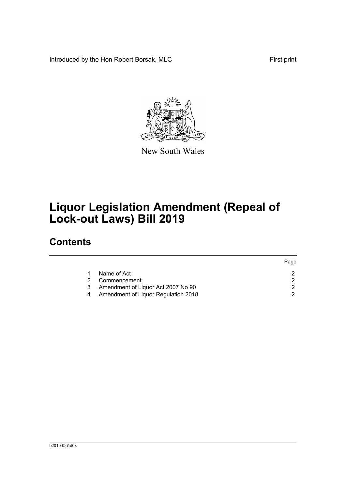Introduced by the Hon Robert Borsak, MLC First print



New South Wales

# **Liquor Legislation Amendment (Repeal of Lock-out Laws) Bill 2019**

### **Contents**

|   |                                     | Page |
|---|-------------------------------------|------|
|   | Name of Act                         |      |
|   | Commencement                        |      |
| 3 | Amendment of Liquor Act 2007 No 90  |      |
|   | Amendment of Liquor Regulation 2018 |      |
|   |                                     |      |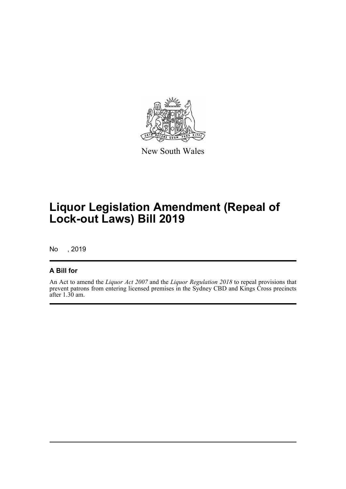

New South Wales

## **Liquor Legislation Amendment (Repeal of Lock-out Laws) Bill 2019**

No , 2019

#### **A Bill for**

An Act to amend the *Liquor Act 2007* and the *Liquor Regulation 2018* to repeal provisions that prevent patrons from entering licensed premises in the Sydney CBD and Kings Cross precincts after 1.30 am.